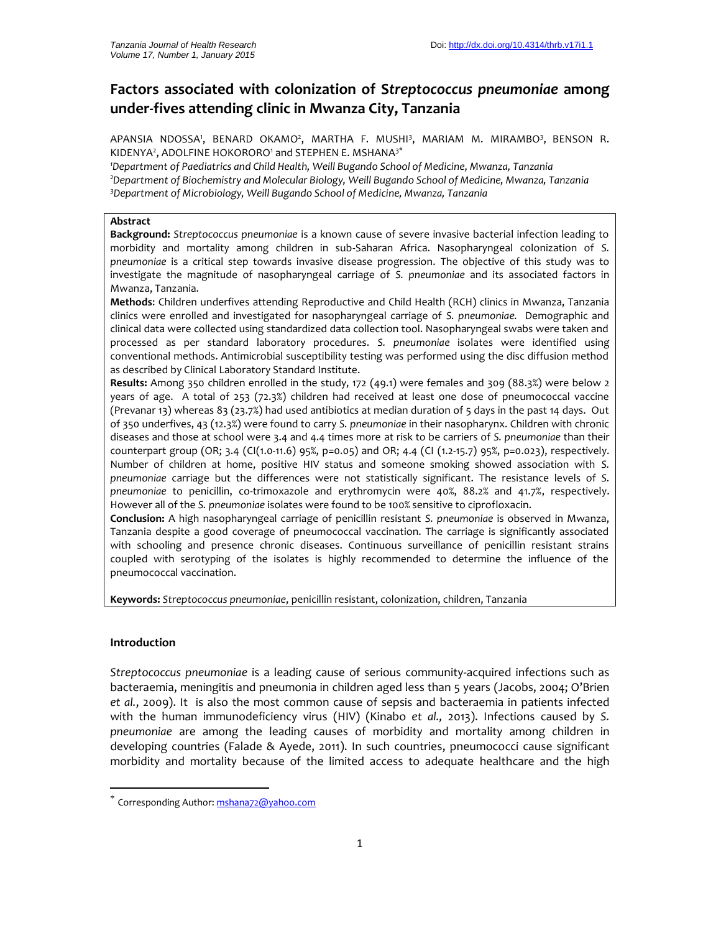# **Factors associated with colonization of S***treptococcus pneumoniae* **among under-fives attending clinic in Mwanza City, Tanzania**

APANSIA NDOSSA', BENARD OKAMO<sup>2</sup>, MARTHA F. MUSHI<sup>3</sup>, MARIAM M. MIRAMBO<sup>3</sup>, BENSON R. KIDENYA<sup>2</sup>, ADOLFINE HOKORORO<sup>1</sup> and STEPHEN E. MSHANA<sup>3\*</sup>

*<sup>1</sup>Department of Paediatrics and Child Health, Weill Bugando School of Medicine, Mwanza, Tanzania <sup>2</sup>Department of Biochemistry and Molecular Biology, Weill Bugando School of Medicine, Mwanza, Tanzania <sup>3</sup>Department of Microbiology, Weill Bugando School of Medicine, Mwanza, Tanzania*

# **Abstract**

**Background:** *Streptococcus pneumoniae* is a known cause of severe invasive bacterial infection leading to morbidity and mortality among children in sub-Saharan Africa. Nasopharyngeal colonization of *S. pneumoniae* is a critical step towards invasive disease progression. The objective of this study was to investigate the magnitude of nasopharyngeal carriage of *S. pneumoniae* and its associated factors in Mwanza, Tanzania.

**Methods**: Children underfives attending Reproductive and Child Health (RCH) clinics in Mwanza, Tanzania clinics were enrolled and investigated for nasopharyngeal carriage of *S. pneumoniae.* Demographic and clinical data were collected using standardized data collection tool. Nasopharyngeal swabs were taken and processed as per standard laboratory procedures. *S. pneumoniae* isolates were identified using conventional methods. Antimicrobial susceptibility testing was performed using the disc diffusion method as described by Clinical Laboratory Standard Institute.

**Results:** Among 350 children enrolled in the study, 172 (49.1) were females and 309 (88.3%) were below 2 years of age. A total of 253 (72.3%) children had received at least one dose of pneumococcal vaccine (Prevanar 13) whereas 83 (23.7%) had used antibiotics at median duration of 5 days in the past 14 days. Out of 350 underfives, 43 (12.3%) were found to carry *S. pneumoniae* in their nasopharynx. Children with chronic diseases and those at school were 3.4 and 4.4 times more atrisk to be carriers of *S. pneumoniae* than their counterpart group (OR; 3.4 (CI(1.0-11.6) 95%, p=0.05) and OR; 4.4 (CI (1.2-15.7) 95%, p=0.023), respectively. Number of children at home, positive HIV status and someone smoking showed association with *S. pneumoniae* carriage but the differences were not statistically significant. The resistance levels of *S. pneumoniae* to penicillin, co-trimoxazole and erythromycin were 40%, 88.2% and 41.7%, respectively. However all of the *S. pneumoniae* isolates were found to be 100% sensitive to ciprofloxacin.

**Conclusion:** A high nasopharyngeal carriage of penicillin resistant *S. pneumoniae* is observed in Mwanza, Tanzania despite a good coverage of pneumococcal vaccination. The carriage is significantly associated with schooling and presence chronic diseases. Continuous surveillance of penicillin resistant strains coupled with serotyping of the isolates is highly recommended to determine the influence of the pneumococcal vaccination.

**Keywords:** *Streptococcus pneumoniae*, penicillin resistant, colonization, children, Tanzania

# **Introduction**

*Streptococcus pneumoniae* is a leading cause of serious community-acquired infections such as bacteraemia, meningitis and pneumonia in children aged less than 5 years (Jacobs, 2004; O'Brien *et al.*, 2009). It is also the most common cause of sepsis and bacteraemia in patients infected with the human immunodeficiency virus (HIV) (Kinabo *et al.,* 2013). Infections caused by *S. pneumoniae* are among the leading causes of morbidity and mortality among children in developing countries (Falade & Ayede, 2011). In such countries, pneumococci cause significant morbidity and mortality because of the limited access to adequate healthcare and the high

 $\check{\phantom{\phi}}$  Corresponding Author: mshana72@yahoo.com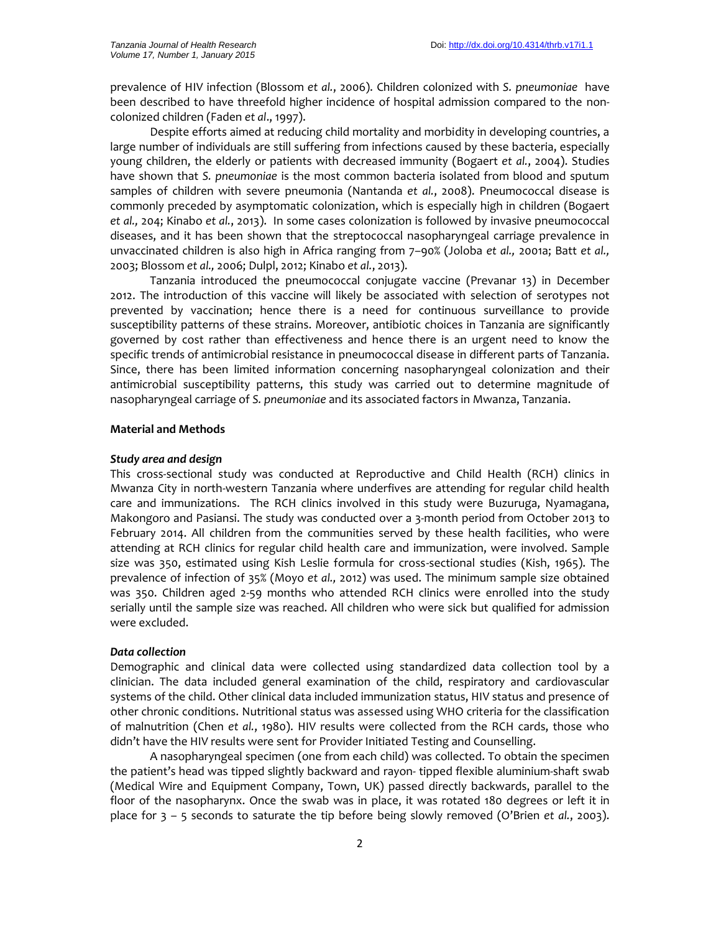prevalence of HIV infection (Blossom *et al.*, 2006). Children colonized with *S. pneumoniae* have been described to have threefold higher incidence of hospital admission compared to the non colonized children (Faden *et al*., 1997).

Despite efforts aimed at reducing child mortality and morbidity in developing countries, a large number of individuals are still suffering from infections caused by these bacteria, especially young children, the elderly or patients with decreased immunity (Bogaert *et al.*, 2004). Studies have shown that *S. pneumoniae* is the most common bacteria isolated from blood and sputum samples of children with severe pneumonia (Nantanda *et al.*, 2008). Pneumococcal disease is commonly preceded by asymptomatic colonization, which is especially high in children (Bogaert *et al.,* 204; Kinabo *et al.*, 2013). In some cases colonization is followed by invasive pneumococcal diseases, and it has been shown that the streptococcal nasopharyngeal carriage prevalence in unvaccinated children is also high in Africa ranging from 7–90% (Joloba *et al.,* 2001a; Batt *et al.,* 2003; Blossom *et al.,* 2006; Dulpl, 2012; Kinabo *et al.*, 2013).

Tanzania introduced the pneumococcal conjugate vaccine (Prevanar 13) in December 2012. The introduction of this vaccine will likely be associated with selection of serotypes not prevented by vaccination; hence there is a need for continuous surveillance to provide susceptibility patterns of these strains. Moreover, antibiotic choices in Tanzania are significantly governed by cost rather than effectiveness and hence there is an urgent need to know the specific trends of antimicrobial resistance in pneumococcal disease in different parts of Tanzania. Since, there has been limited information concerning nasopharyngeal colonization and their antimicrobial susceptibility patterns, this study was carried out to determine magnitude of nasopharyngeal carriage of *S. pneumoniae* and its associated factors in Mwanza, Tanzania.

### **Material and Methods**

#### *Study area and design*

This cross-sectional study was conducted at Reproductive and Child Health (RCH) clinics in Mwanza City in north-western Tanzania where underfives are attending for regular child health care and immunizations. The RCH clinics involved in this study were Buzuruga, Nyamagana, Makongoro and Pasiansi. The study was conducted over a 3-month period from October 2013 to February 2014. All children from the communities served by these health facilities, who were attending at RCH clinics for regular child health care and immunization, were involved. Sample size was 350, estimated using Kish Leslie formula for cross-sectional studies (Kish, 1965). The prevalence of infection of 35% (Moyo *et al.,* 2012) was used. The minimum sample size obtained was 350. Children aged 2-59 months who attended RCH clinics were enrolled into the study serially until the sample size was reached. All children who were sick but qualified for admission were excluded.

#### *Data collection*

Demographic and clinical data were collected using standardized data collection tool by a clinician. The data included general examination of the child, respiratory and cardiovascular systems of the child. Other clinical data included immunization status, HIV status and presence of other chronic conditions. Nutritional status was assessed using WHO criteria for the classification of malnutrition (Chen *et al.*, 1980). HIV results were collected from the RCH cards, those who didn't have the HIV results were sent for Provider Initiated Testing and Counselling.

A nasopharyngeal specimen (one from each child) was collected. To obtain the specimen the patient's head was tipped slightly backward and rayon- tipped flexible aluminium-shaft swab (Medical Wire and Equipment Company, Town, UK) passed directly backwards, parallel to the floor of the nasopharynx. Once the swab was in place, it was rotated 180 degrees or left it in place for 3 – 5 seconds to saturate the tip before being slowly removed (O'Brien *et al.*, 2003).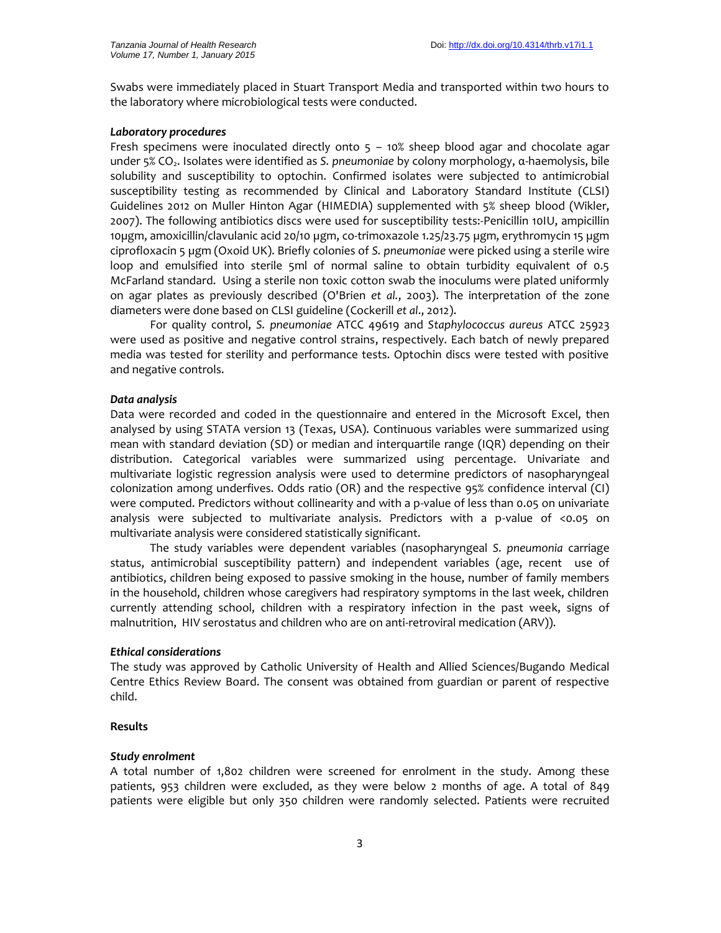Swabs were immediately placed in Stuart Transport Media and transported within two hours to the laboratory where microbiological tests were conducted.

### *Laboratory procedures*

Fresh specimens were inoculated directly onto 5 – 10% sheep blood agar and chocolate agar under 5% CO<sub>2</sub>. Isolates were identified as *S. pneumoniae* by colony morphology, α-haemolysis, bile solubility and susceptibility to optochin. Confirmed isolates were subjected to antimicrobial susceptibility testing as recommended by Clinical and Laboratory Standard Institute (CLSI) Guidelines 2012 on Muller Hinton Agar (HIMEDIA) supplemented with 5% sheep blood (Wikler, 2007). The following antibiotics discs were used for susceptibility tests:-Penicillin 10IU, ampicillin 10µgm, amoxicillin/clavulanic acid 20/10 µgm, co-trimoxazole 1.25/23.75 µgm, erythromycin 15 µgm ciprofloxacin 5 µgm (Oxoid UK). Briefly colonies of *S. pneumoniae* were picked using a sterile wire loop and emulsified into sterile 5ml of normal saline to obtain turbidity equivalent of 0.5 McFarland standard. Using a sterile non toxic cotton swab the inoculums were plated uniformly on agar plates as previously described (O'Brien *et al.*, 2003). The interpretation of the zone diameters were done based on CLSI guideline (Cockerill *et al*., 2012).

For quality control, *S. pneumoniae* ATCC 49619 and *Staphylococcus aureus* ATCC 25923 were used as positive and negative control strains, respectively. Each batch of newly prepared media was tested for sterility and performance tests. Optochin discs were tested with positive and negative controls.

### *Data analysis*

Data were recorded and coded in the questionnaire and entered in the Microsoft Excel, then analysed by using STATA version 13 (Texas, USA). Continuous variables were summarized using mean with standard deviation (SD) or median and interquartile range (IQR) depending on their distribution. Categorical variables were summarized using percentage. Univariate and multivariate logistic regression analysis were used to determine predictors of nasopharyngeal colonization among underfives. Odds ratio (OR) and the respective 95% confidence interval (CI) were computed. Predictors without collinearity and with a p-value of less than 0.05 on univariate analysis were subjected to multivariate analysis. Predictors with a p-value of <0.05 on multivariate analysis were considered statistically significant.

The study variables were dependent variables (nasopharyngeal *S. pneumonia* carriage status, antimicrobial susceptibility pattern) and independent variables (age, recent use of antibiotics, children being exposed to passive smoking in the house, number of family members in the household, children whose caregivers had respiratory symptoms in the last week, children currently attending school, children with a respiratory infection in the past week, signs of malnutrition, HIV serostatus and children who are on anti-retroviral medication (ARV)).

#### *Ethical considerations*

The study was approved by Catholic University of Health and Allied Sciences/Bugando Medical Centre Ethics Review Board. The consent was obtained from guardian or parent of respective child.

### **Results**

### *Study enrolment*

A total number of 1,802 children were screened for enrolment in the study. Among these patients, 953 children were excluded, as they were below 2 months of age. A total of 849 patients were eligible but only 350 children were randomly selected. Patients were recruited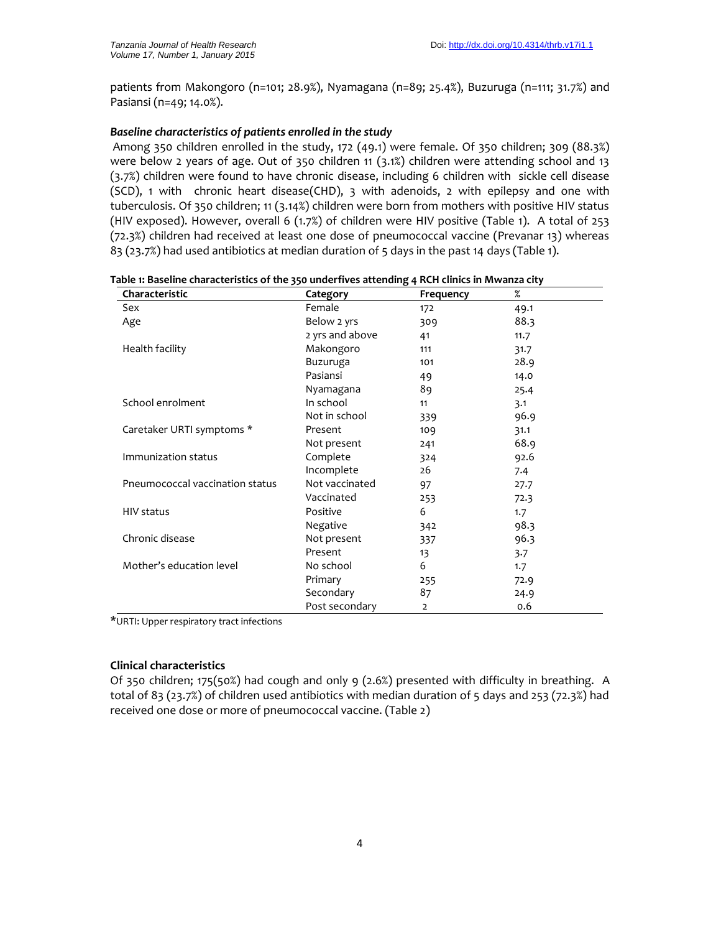patients from Makongoro (n=101; 28.9%), Nyamagana (n=89; 25.4%), Buzuruga (n=111; 31.7%) and Pasiansi (n=49; 14.0%).

# *Baseline characteristics of patients enrolled in the study*

Among 350 children enrolled in the study, 172 (49.1) were female. Of 350 children; 309 (88.3%) were below 2 years of age. Out of 350 children 11 (3.1%) children were attending school and 13 (3.7%) children were found to have chronic disease, including 6 children with sickle cell disease (SCD), 1 with chronic heart disease(CHD), 3 with adenoids, 2 with epilepsy and one with tuberculosis. Of 350 children; 11 (3.14%) children were born from mothers with positive HIV status (HIV exposed). However, overall 6 (1.7%) of children were HIV positive (Table 1). A total of 253 (72.3%) children had received at least one dose of pneumococcal vaccine (Prevanar 13) whereas 83 (23.7%) had used antibiotics at median duration of 5 days in the past 14 days (Table 1).

| Table 1: Baseline characteristics of the 350 underfives attending 4 RCH clinics in Mwanza city |  |
|------------------------------------------------------------------------------------------------|--|
|------------------------------------------------------------------------------------------------|--|

| Characteristic                  | Category        | Frequency | %    |
|---------------------------------|-----------------|-----------|------|
| Sex                             | Female          | 172       | 49.1 |
| Age                             | Below 2 yrs     | 309       | 88.3 |
|                                 | 2 yrs and above | 41        | 11.7 |
| Health facility                 | Makongoro       | 111       | 31.7 |
|                                 | Buzuruga        | 101       | 28.9 |
|                                 | Pasiansi        | 49        | 14.0 |
|                                 | Nyamagana       | 89        | 25.4 |
| School enrolment                | In school       | 11        | 3.1  |
|                                 | Not in school   | 339       | 96.9 |
| Caretaker URTI symptoms *       | Present         | 109       | 31.1 |
|                                 | Not present     | 241       | 68.9 |
| Immunization status             | Complete        | 324       | 92.6 |
|                                 | Incomplete      | 26        | 7.4  |
| Pneumococcal vaccination status | Not vaccinated  | 97        | 27.7 |
|                                 | Vaccinated      | 253       | 72.3 |
| <b>HIV</b> status               | Positive        | 6         | 1.7  |
|                                 | Negative        | 342       | 98.3 |
| Chronic disease                 | Not present     | 337       | 96.3 |
|                                 | Present         | 13        | 3.7  |
| Mother's education level        | No school       | 6         | 1.7  |
|                                 | Primary         | 255       | 72.9 |
|                                 | Secondary       | 87        | 24.9 |
|                                 | Post secondary  | 2         | 0.6  |

\*URTI: Upper respiratory tract infections

# **Clinical characteristics**

Of 350 children; 175(50%) had cough and only 9 (2.6%) presented with difficulty in breathing. A total of 83 (23.7%) of children used antibiotics with median duration of 5 days and 253 (72.3%) had received one dose or more of pneumococcal vaccine. (Table 2)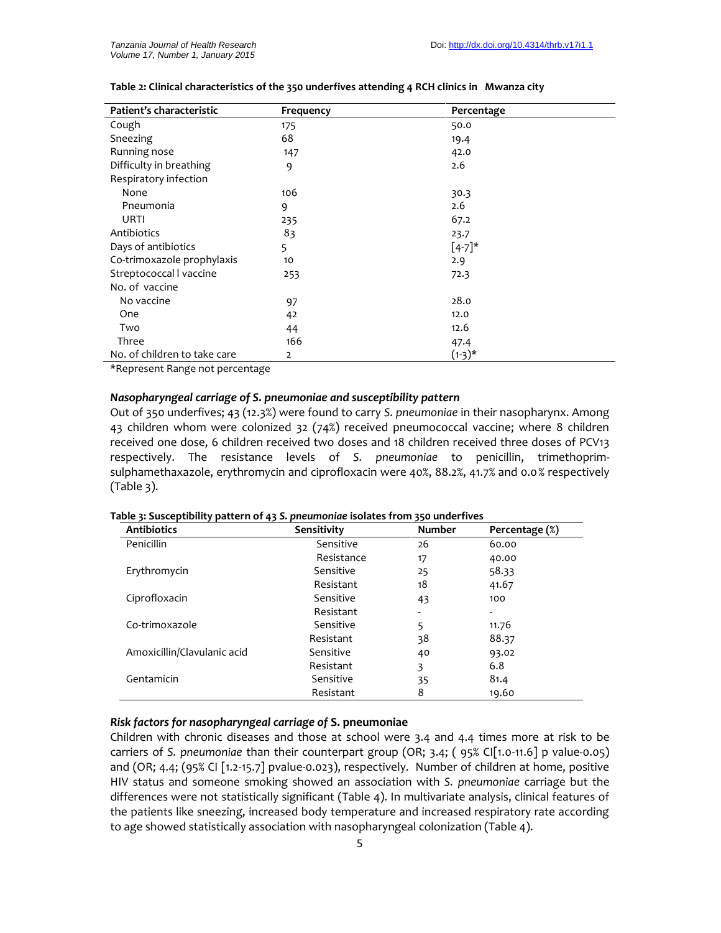| Patient's characteristic     | Frequency | Percentage |
|------------------------------|-----------|------------|
| Cough                        | 175       | 50.0       |
| Sneezing                     | 68        | 19.4       |
| Running nose                 | 147       | 42.0       |
| Difficulty in breathing      | 9         | 2.6        |
| Respiratory infection        |           |            |
| None                         | 106       | 30.3       |
| Pneumonia                    | 9         | 2.6        |
| URTI                         | 235       | 67.2       |
| Antibiotics                  | 83        | 23.7       |
| Days of antibiotics          | 5         | $[4-7]$ *  |
| Co-trimoxazole prophylaxis   | 10        | 2.9        |
| Streptococcal I vaccine      | 253       | 72.3       |
| No. of vaccine               |           |            |
| No vaccine                   | 97        | 28.0       |
| One                          | 42        | 12.0       |
| Two                          | 44        | 12.6       |
| Three                        | 166       | 47.4       |
| No. of children to take care | 2         | (1-3)*     |

### **Table 2: Clinical characteristics of the 350 underfives attending 4 RCH clinics in Mwanza city**

\*Represent Range not percentage

### *Nasopharyngeal carriage of S. pneumoniae and susceptibility pattern*

Out of 350 underfives; 43 (12.3%) were found to carry *S. pneumoniae* in their nasopharynx. Among 43 children whom were colonized 32 (74%) received pneumococcal vaccine; where 8 children received one dose, 6 children received two doses and 18 children received three doses of PCV13 respectively. The resistance levels of *S. pneumoniae* to penicillin, trimethoprim sulphamethaxazole, erythromycin and ciprofloxacin were 40%, 88.2%, 41.7% and 0.0% respectively  $(Table 3).$ 

| <b>Antibiotics</b>          | Sensitivity | <b>Number</b> | Percentage (%) |
|-----------------------------|-------------|---------------|----------------|
| Penicillin                  | Sensitive   | 26            | 60.00          |
|                             | Resistance  | 17            | 40.00          |
| Erythromycin                | Sensitive   | 25            | 58.33          |
|                             | Resistant   | 18            | 41.67          |
| Ciprofloxacin               | Sensitive   | 43            | 100            |
|                             | Resistant   | -             |                |
| Co-trimoxazole              | Sensitive   | 5             | 11.76          |
|                             | Resistant   | 38            | 88.37          |
| Amoxicillin/Clavulanic acid | Sensitive   | 40            | 93.02          |
|                             | Resistant   | 3             | 6.8            |
| Gentamicin                  | Sensitive   | 35            | 81.4           |
|                             | Resistant   | 8             | 19.60          |

#### **Table 3: Susceptibility pattern of 43** *S. pneumoniae* **isolates from 350 underfives**

# *Risk factors for nasopharyngeal carriage of* **S. pneumoniae**

Children with chronic diseases and those at school were 3.4 and 4.4 times more at risk to be carriers of *S. pneumoniae* than their counterpart group (OR; 3.4; ( 95% CI[1.0-11.6] p value-0.05) and (OR; 4.4; (95% CI [1.2-15.7] pvalue-0.023), respectively. Number of children at home, positive HIV status and someone smoking showed an association with *S. pneumoniae* carriage but the differences were not statistically significant (Table 4). In multivariate analysis, clinical features of the patients like sneezing, increased body temperature and increased respiratory rate according to age showed statistically association with nasopharyngeal colonization (Table 4).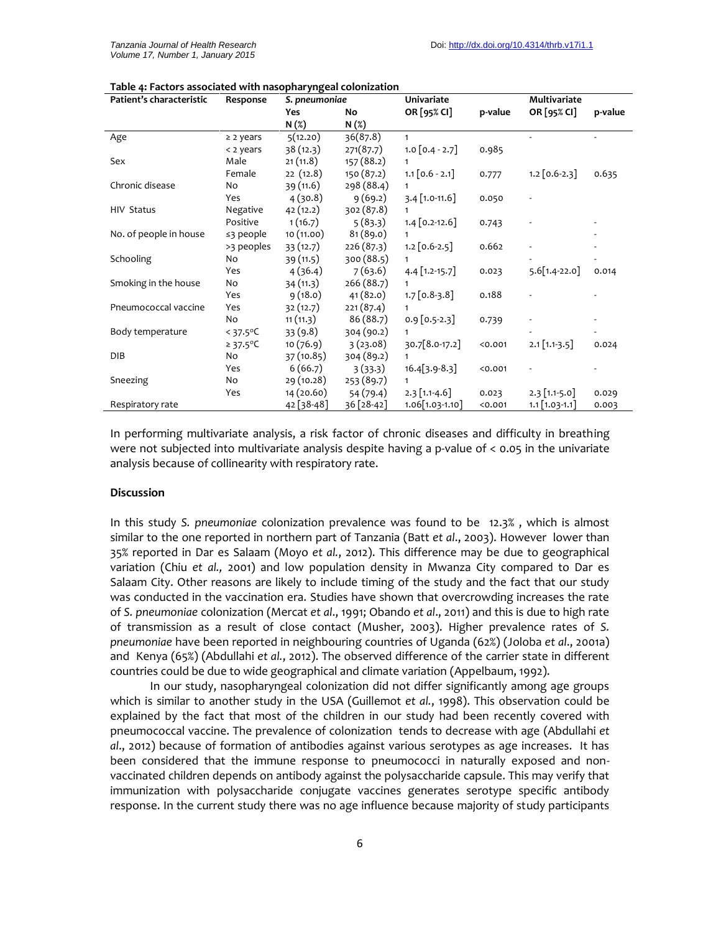| Patient's characteristic | Response              | S. pneumoniae            |            | <b>Univariate</b> |         | Multivariate     |       |
|--------------------------|-----------------------|--------------------------|------------|-------------------|---------|------------------|-------|
|                          |                       | OR [95% CI]<br>No<br>Yes | p-value    | OR [95% CI]       | p-value |                  |       |
|                          |                       | N(%)                     | N(%)       |                   |         |                  |       |
| Age                      | $\geq$ 2 years        | 5(12.20)                 | 36(87.8)   | $\mathbf{1}$      |         |                  |       |
|                          | < 2 years             | 38(12.3)                 | 271(87.7)  | $1.0$ [0.4 - 2.7] | 0.985   |                  |       |
| Sex                      | Male                  | 21(11.8)                 | 157 (88.2) | 1                 |         |                  |       |
|                          | Female                | 22(12.8)                 | 150 (87.2) | $1.1$ [0.6 - 2.1] | 0.777   | $1.2$ [0.6-2.3]  | 0.635 |
| Chronic disease          | No                    | 39(11.6)                 | 298 (88.4) | $\mathbf{1}$      |         |                  |       |
|                          | Yes                   | 4(30.8)                  | 9(69.2)    | $3.4$ [1.0-11.6]  | 0.050   |                  |       |
| <b>HIV Status</b>        | Negative              | 42(12.2)                 | 302 (87.8) | $\mathbf{1}$      |         |                  |       |
|                          | Positive              | 1(16.7)                  | 5(83.3)    | $1.4$ [0.2-12.6]  | 0.743   |                  |       |
| No. of people in house   | $\leq$ 3 people       | 10(11.00)                | 81(89.0)   | 1                 |         |                  |       |
|                          | >3 peoples            | 33(12.7)                 | 226 (87.3) | $1.2$ [0.6-2.5]   | 0.662   |                  |       |
| Schooling                | No                    | 39 (11.5)                | 300 (88.5) |                   |         |                  |       |
|                          | Yes                   | 4(36.4)                  | 7(63.6)    | $4.4$ [1.2-15.7]  | 0.023   | $5.6[1.4-22.0]$  | 0.014 |
| Smoking in the house     | No                    | 34(11.3)                 | 266 (88.7) |                   |         |                  |       |
|                          | Yes                   | 9(18.0)                  | 41(82.0)   | $1.7$ [0.8-3.8]   | 0.188   |                  |       |
| Pneumococcal vaccine     | Yes                   | 32(12.7)                 | 221(87.4)  | $\mathbf{1}$      |         |                  |       |
|                          | No                    | 11(11.3)                 | 86 (88.7)  | $0.9$ [0.5-2.3]   | 0.739   |                  |       |
| Body temperature         | $< 37.5^{\circ}$ C    | 33(9.8)                  | 304 (90.2) | 1                 |         |                  |       |
|                          | ≥ 37.5 <sup>o</sup> C | 10(76.9)                 | 3(23.08)   | 30.7[8.0-17.2]    | < 0.001 | $2.1$ [1.1-3.5]  | 0.024 |
| <b>DIB</b>               | No                    | 37 (10.85)               | 304 (89.2) | $\mathbf{1}$      |         |                  |       |
|                          | Yes                   | 6(66.7)                  | 3(33.3)    | $16.4[3.9-8.3]$   | 0.001   |                  |       |
| Sneezing                 | No                    | 29 (10.28)               | 253 (89.7) | $\mathbf{1}$      |         |                  |       |
|                          | Yes                   | 14 (20.60)               | 54 (79.4)  | $2.3$ [1.1-4.6]   | 0.023   | $2.3$ [1.1-5.0]  | 0.029 |
| Respiratory rate         |                       | $42$ [38-48]             | 36 [28-42] | $1.06[1.03-1.10]$ | 0.001   | $1.1$ [1.03-1.1] | 0.003 |

In performing multivariate analysis, a risk factor of chronic diseases and difficulty in breathing were not subjected into multivariate analysis despite having a p-value of < 0.05 in the univariate analysis because of collinearity with respiratory rate.

### **Discussion**

In this study *S. pneumoniae* colonization prevalence was found to be 12.3% , which is almost similar to the one reported in northern part of Tanzania (Batt *et al*., 2003). However lower than 35% reported in Dar es Salaam (Moyo *et al.*, 2012). This difference may be due to geographical variation (Chiu *et al.,* 2001) and low population density in Mwanza City compared to Dar es Salaam City. Other reasons are likely to include timing of the study and the fact that our study was conducted in the vaccination era. Studies have shown that overcrowding increases the rate of *S. pneumoniae* colonization (Mercat *et al*., 1991; Obando *et al*., 2011) and this is due to high rate of transmission as a result of close contact (Musher, 2003). Higher prevalence rates of *S. pneumoniae* have been reported in neighbouring countries of Uganda (62%) (Joloba *et al*., 2001a) and Kenya (65%) (Abdullahi *et al.*, 2012). The observed difference of the carrier state in different countries could be due to wide geographical and climate variation (Appelbaum, 1992).

In our study, nasopharyngeal colonization did not differ significantly among age groups which is similar to another study in the USA (Guillemot *et al.*, 1998). This observation could be explained by the fact that most of the children in our study had been recently covered with pneumococcal vaccine. The prevalence of colonization tends to decrease with age (Abdullahi *et al*., 2012) because of formation of antibodies against various serotypes as age increases. It has been considered that the immune response to pneumococci in naturally exposed and non vaccinated children depends on antibody against the polysaccharide capsule. This may verify that immunization with polysaccharide conjugate vaccines generates serotype specific antibody response. In the current study there was no age influence because majority of study participants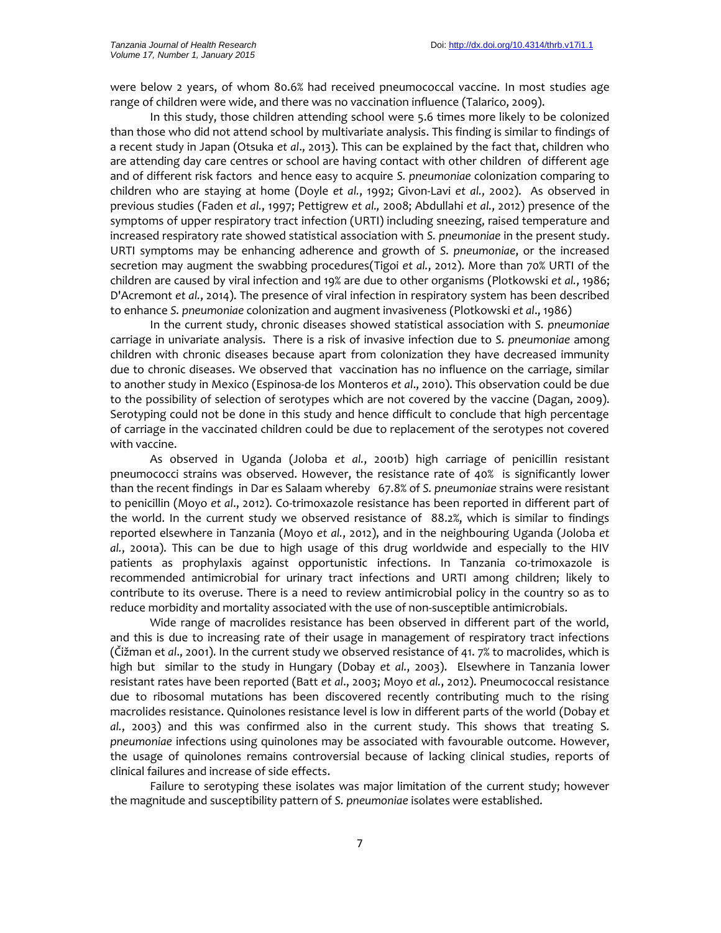were below 2 years, of whom 80.6% had received pneumococcal vaccine. In most studies age range of children were wide, and there was no vaccination influence (Talarico, 2009).

In this study, those children attending school were 5.6 times more likely to be colonized than those who did not attend school by multivariate analysis. This finding is similar to findings of a recent study in Japan (Otsuka *et al*., 2013). This can be explained by the fact that, children who are attending day care centres or school are having contact with other children of different age and of different risk factors and hence easy to acquire *S. pneumoniae* colonization comparing to children who are staying at home (Doyle *et al.*, 1992; Givon-Lavi *et al.*, 2002). As observed in previous studies (Faden *et al.*, 1997; Pettigrew *et al.,* 2008; Abdullahi *et al.*, 2012) presence of the symptoms of upper respiratory tract infection (URTI) including sneezing, raised temperature and increased respiratory rate showed statistical association with *S. pneumoniae* in the present study. URTI symptoms may be enhancing adherence and growth of *S. pneumoniae*, or the increased secretion may augment the swabbing procedures(Tigoi *et al.*, 2012). More than 70% URTI of the children are caused by viral infection and 19% are due to other organisms (Plotkowski *et al.*, 1986; D'Acremont *et al.*, 2014). The presence of viral infection in respiratory system has been described to enhance *S. pneumoniae* colonization and augment invasiveness (Plotkowski *et al*., 1986)

In the current study, chronic diseases showed statistical association with *S. pneumoniae* carriage in univariate analysis. There is a risk of invasive infection due to *S. pneumoniae* among children with chronic diseases because apart from colonization they have decreased immunity due to chronic diseases. We observed that vaccination has no influence on the carriage, similar to another study in Mexico (Espinosa-de los Monteros *et al*., 2010). This observation could be due to the possibility of selection of serotypes which are not covered by the vaccine (Dagan, 2009). Serotyping could not be done in this study and hence difficult to conclude that high percentage of carriage in the vaccinated children could be due to replacement of the serotypes not covered with vaccine.

As observed in Uganda (Joloba *et al.*, 2001b) high carriage of penicillin resistant pneumococci strains was observed. However, the resistance rate of 40% is significantly lower than the recent findings in Dar es Salaam whereby 67.8% of *S. pneumoniae* strains were resistant to penicillin (Moyo *et al*., 2012). Co-trimoxazole resistance has been reported in different part of the world. In the current study we observed resistance of 88.2%, which is similar to findings reported elsewhere in Tanzania (Moyo *et al.*, 2012), and in the neighbouring Uganda (Joloba *et al.*, 2001a). This can be due to high usage of this drug worldwide and especially to the HIV patients as prophylaxis against opportunistic infections. In Tanzania co-trimoxazole is recommended antimicrobial for urinary tract infections and URTI among children; likely to contribute to its overuse. There is a need to review antimicrobial policy in the country so as to reduce morbidity and mortality associated with the use of non-susceptible antimicrobials.

Wide range of macrolides resistance has been observed in different part of the world, and this is due to increasing rate of their usage in management of respiratory tract infections (Čižman et *al*., 2001). In the current study we observed resistance of 41. 7% to macrolides, which is high but similar to the study in Hungary (Dobay *et al.*, 2003). Elsewhere in Tanzania lower resistant rates have been reported (Batt *et al*., 2003; Moyo *et al.*, 2012). Pneumococcal resistance due to ribosomal mutations has been discovered recently contributing much to the rising macrolides resistance. Quinolones resistance level is low in different parts of the world (Dobay *et al.*, 2003) and this was confirmed also in the current study. This shows that treating S*. pneumoniae* infections using quinolones may be associated with favourable outcome. However, the usage of quinolones remains controversial because of lacking clinical studies, reports of clinical failures and increase of side effects.

Failure to serotyping these isolates was major limitation of the current study; however the magnitude and susceptibility pattern of *S. pneumoniae* isolates were established.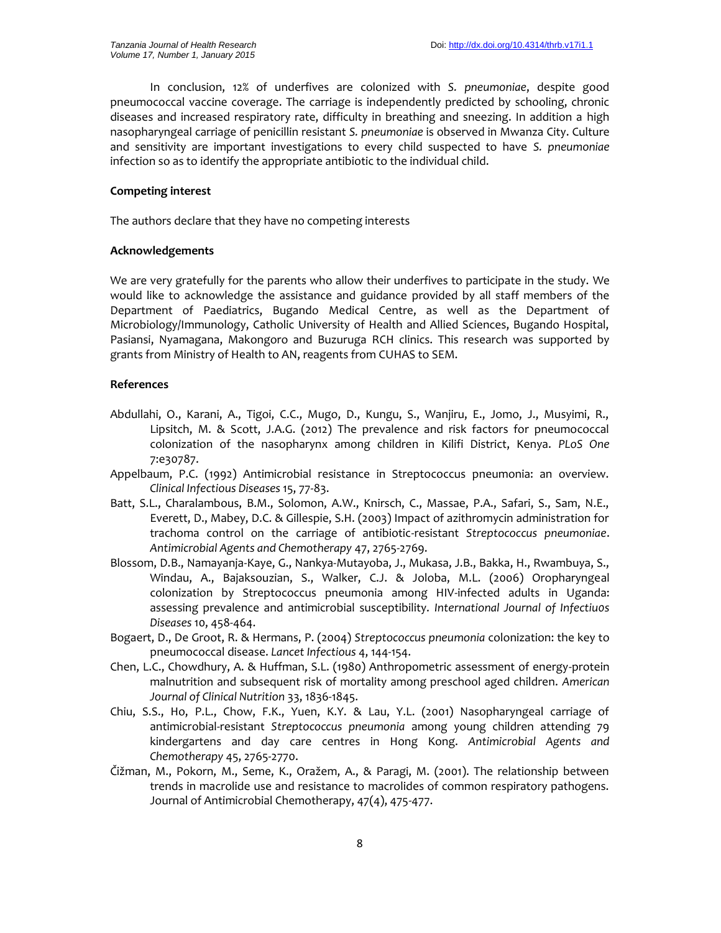In conclusion, 12% of underfives are colonized with *S. pneumoniae*, despite good pneumococcal vaccine coverage. The carriage is independently predicted by schooling, chronic diseases and increased respiratory rate, difficulty in breathing and sneezing. In addition a high nasopharyngeal carriage of penicillin resistant *S. pneumoniae* is observed in Mwanza City. Culture and sensitivity are important investigations to every child suspected to have *S. pneumoniae* infection so as to identify the appropriate antibiotic to the individual child.

# **Competing interest**

The authors declare that they have no competing interests

# **Acknowledgements**

We are very gratefully for the parents who allow their underfives to participate in the study. We would like to acknowledge the assistance and guidance provided by all staff members of the Department of Paediatrics, Bugando Medical Centre, as well as the Department of Microbiology/Immunology, Catholic University of Health and Allied Sciences, Bugando Hospital, Pasiansi, Nyamagana, Makongoro and Buzuruga RCH clinics. This research was supported by grants from Ministry of Health to AN, reagents from CUHAS to SEM.

# **References**

- Abdullahi, O., Karani, A., Tigoi, C.C., Mugo, D., Kungu, S., Wanjiru, E., Jomo, J., Musyimi, R., Lipsitch, M. & Scott, J.A.G. (2012) The prevalence and risk factors for pneumococcal colonization of the nasopharynx among children in Kilifi District, Kenya. *PLoS One* 7:e30787.
- Appelbaum, P.C. (1992) Antimicrobial resistance in Streptococcus pneumonia: an overview. *Clinical Infectious Diseases* 15, 77-83.
- Batt, S.L., Charalambous, B.M., Solomon, A.W., Knirsch, C., Massae, P.A., Safari, S., Sam, N.E., Everett, D., Mabey, D.C. & Gillespie, S.H. (2003) Impact of azithromycin administration for trachoma control on the carriage of antibiotic-resistant *Streptococcus pneumoniae*. *Antimicrobial Agents and Chemotherapy* 47, 2765-2769.
- Blossom, D.B., Namayanja-Kaye, G., Nankya-Mutayoba, J., Mukasa, J.B., Bakka, H., Rwambuya, S., Windau, A., Bajaksouzian, S., Walker, C.J. & Joloba, M.L. (2006) Oropharyngeal colonization by Streptococcus pneumonia among HIV-infected adults in Uganda: assessing prevalence and antimicrobial susceptibility. *International Journal of Infectiu0s Diseases* 10, 458-464.
- Bogaert, D., De Groot, R. & Hermans, P. (2004) *Streptococcus pneumonia* colonization: the key to pneumococcal disease. *Lancet Infectious* 4, 144-154.
- Chen, L.C., Chowdhury, A. & Huffman, S.L. (1980) Anthropometric assessment of energy-protein malnutrition and subsequent risk of mortality among preschool aged children. *American Journal of Clinical Nutrition* 33, 1836-1845.
- Chiu, S.S., Ho, P.L., Chow, F.K., Yuen, K.Y. & Lau, Y.L. (2001) Nasopharyngeal carriage of antimicrobial-resistant *Streptococcus pneumonia* among young children attending 79 kindergartens and day care centres in Hong Kong. *Antimicrobial Agents and Chemotherapy* 45, 2765-2770.
- Čižman, M., Pokorn, M., Seme, K., Oražem, A., & Paragi, M. (2001). The relationship between trends in macrolide use and resistance to macrolides of common respiratory pathogens. Journal of Antimicrobial Chemotherapy, 47(4), 475-477.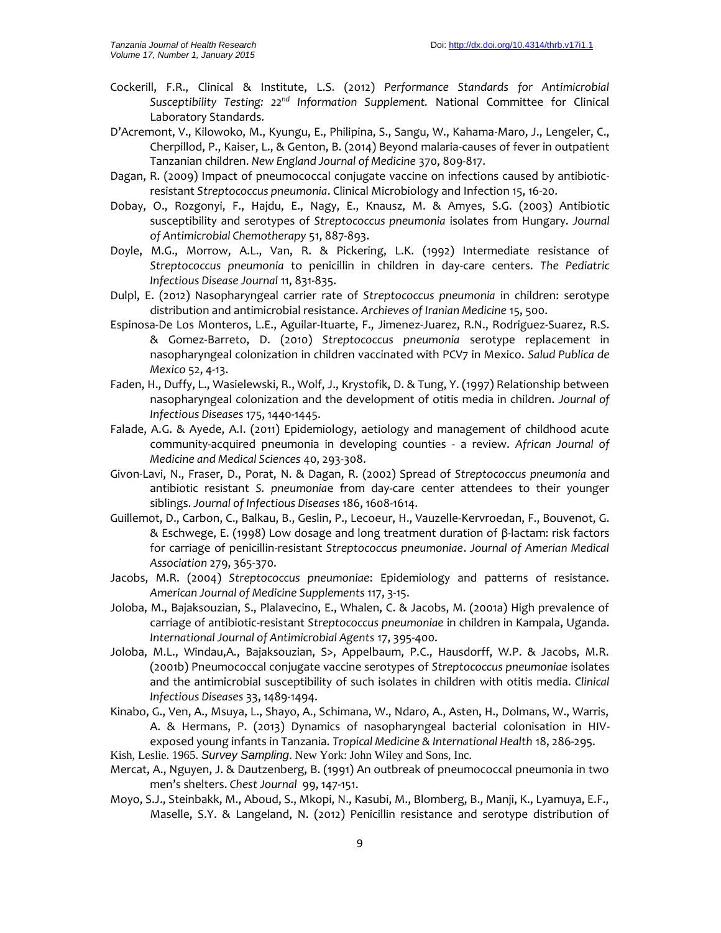- Cockerill, F.R., Clinical & Institute, L.S. (2012) *Performance Standards for Antimicrobial Susceptibility Testing: 22nd Information Supplement.* National Committee for Clinical Laboratory Standards.
- D'Acremont, V., Kilowoko, M., Kyungu, E., Philipina, S., Sangu, W., Kahama-Maro, J., Lengeler, C., Cherpillod, P., Kaiser, L., & Genton, B. (2014) Beyond malaria-causes of fever in outpatient Tanzanian children. *New England Journal of Medicine* 370, 809-817.
- Dagan, R. (2009) Impact of pneumococcal conjugate vaccine on infections caused by antibiotic resistant *Streptococcus pneumonia*. Clinical Microbiology and Infection 15, 16-20.
- Dobay, O., Rozgonyi, F., Hajdu, E., Nagy, E., Knausz, M. & Amyes, S.G. (2003) Antibiotic susceptibility and serotypes of *Streptococcus pneumonia* isolates from Hungary. *Journal of Antimicrobial Chemotherapy* 51, 887-893.
- Doyle, M.G., Morrow, A.L., Van, R. & Pickering, L.K. (1992) Intermediate resistance of *Streptococcus pneumonia* to penicillin in children in day-care centers. *The Pediatric Infectious Disease Journal* 11, 831-835.
- Dulpl, E. (2012) Nasopharyngeal carrier rate of *Streptococcus pneumonia* in children: serotype distribution and antimicrobial resistance. *Archieves of Iranian Medicine* 15, 500.
- Espinosa-De Los Monteros, L.E., Aguilar-Ituarte, F., Jimenez-Juarez, R.N., Rodriguez-Suarez, R.S. & Gomez-Barreto, D. (2010) *Streptococcus pneumonia* serotype replacement in nasopharyngeal colonization in children vaccinated with PCV7 in Mexico. *Salud Publica de Mexico* 52, 4-13.
- Faden, H., Duffy, L., Wasielewski, R., Wolf, J., Krystofik, D. & Tung, Y. (1997) Relationship between nasopharyngeal colonization and the development of otitis media in children. *Journal of Infectious Diseases* 175, 1440-1445.
- Falade, A.G. & Ayede, A.I. (2011) Epidemiology, aetiology and management of childhood acute community-acquired pneumonia in developing counties - a review. *African Journal of Medicine and Medical Sciences* 40, 293-308.
- Givon-Lavi, N., Fraser, D., Porat, N. & Dagan, R. (2002) Spread of *Streptococcus pneumonia* and antibiotic resistant *S. pneumonia*e from day-care center attendees to their younger siblings. *Journal of Infectious Diseases* 186, 1608-1614.
- Guillemot, D., Carbon, C., Balkau, B., Geslin, P., Lecoeur, H., Vauzelle-Kervroedan, F., Bouvenot, G. & Eschwege, E. (1998) Low dosage and long treatment duration of β-lactam: risk factors for carriage of penicillin-resistant *Streptococcus pneumoniae*. *Journal of Amerian Medical Association* 279, 365-370.
- Jacobs, M.R. (2004) *Streptococcus pneumoniae*: Epidemiology and patterns of resistance. *American Journal of Medicine Supplements* 117, 3-15.
- Joloba, M., Bajaksouzian, S., Plalavecino, E., Whalen, C. & Jacobs, M. (2001a) High prevalence of carriage of antibiotic-resistant *Streptococcus pneumoniae* in children in Kampala, Uganda. *International Journal of Antimicrobial Agents* 17, 395-400.
- Joloba, M.L., Windau,A., Bajaksouzian, S>, Appelbaum, P.C., Hausdorff, W.P. & Jacobs, M.R. (2001b) Pneumococcal conjugate vaccine serotypes of *Streptococcus pneumoniae* isolates and the antimicrobial susceptibility of such isolates in children with otitis media. *Clinical Infectious Diseases* 33, 1489-1494.
- Kinabo, G., Ven, A., Msuya, L., Shayo, A., Schimana, W., Ndaro, A., Asten, H., Dolmans, W., Warris, A. & Hermans, P. (2013) Dynamics of nasopharyngeal bacterial colonisation in HIV exposed young infants in Tanzania. *Tropical Medicine & International Health* 18, 286-295.
- Kish, Leslie. 1965. *Survey Sampling*. New York: John Wiley and Sons, Inc.
- Mercat, A., Nguyen, J. & Dautzenberg, B. (1991) An outbreak of pneumococcal pneumonia in two men's shelters. *Chest Journal* 99, 147-151.
- Moyo, S.J., Steinbakk, M., Aboud, S., Mkopi, N., Kasubi, M., Blomberg, B., Manji, K., Lyamuya, E.F., Maselle, S.Y. & Langeland, N. (2012) Penicillin resistance and serotype distribution of